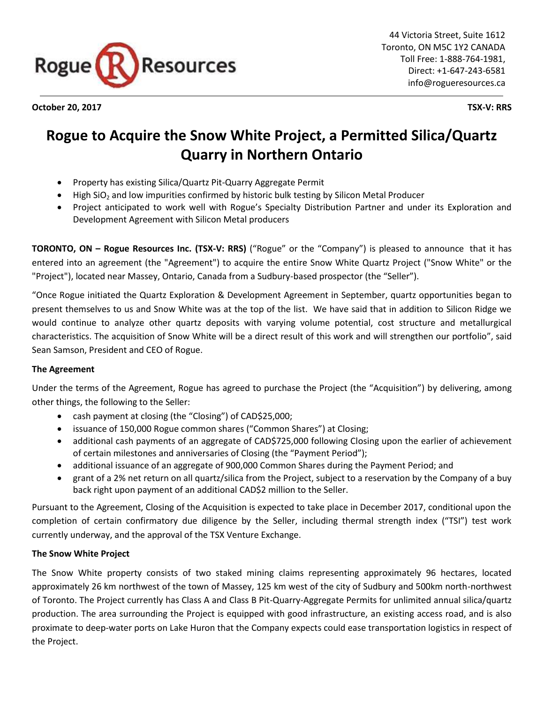

**October 20, 2017 TSX-V: RRS**

# **Rogue to Acquire the Snow White Project, a Permitted Silica/Quartz Quarry in Northern Ontario**

- Property has existing Silica/Quartz Pit-Quarry Aggregate Permit
- $\bullet$  High SiO<sub>2</sub> and low impurities confirmed by historic bulk testing by Silicon Metal Producer
- Project anticipated to work well with Rogue's Specialty Distribution Partner and under its Exploration and Development Agreement with Silicon Metal producers

**TORONTO, ON – Rogue Resources Inc. (TSX-V: RRS)** ("Rogue" or the "Company") is pleased to announce that it has entered into an agreement (the "Agreement") to acquire the entire Snow White Quartz Project ("Snow White" or the "Project"), located near Massey, Ontario, Canada from a Sudbury-based prospector (the "Seller").

"Once Rogue initiated the Quartz Exploration & Development Agreement in September, quartz opportunities began to present themselves to us and Snow White was at the top of the list. We have said that in addition to Silicon Ridge we would continue to analyze other quartz deposits with varying volume potential, cost structure and metallurgical characteristics. The acquisition of Snow White will be a direct result of this work and will strengthen our portfolio", said Sean Samson, President and CEO of Rogue.

# **The Agreement**

Under the terms of the Agreement, Rogue has agreed to purchase the Project (the "Acquisition") by delivering, among other things, the following to the Seller:

- cash payment at closing (the "Closing") of CAD\$25,000;
- issuance of 150,000 Rogue common shares ("Common Shares") at Closing;
- additional cash payments of an aggregate of CAD\$725,000 following Closing upon the earlier of achievement of certain milestones and anniversaries of Closing (the "Payment Period");
- additional issuance of an aggregate of 900,000 Common Shares during the Payment Period; and
- grant of a 2% net return on all quartz/silica from the Project, subject to a reservation by the Company of a buy back right upon payment of an additional CAD\$2 million to the Seller.

Pursuant to the Agreement, Closing of the Acquisition is expected to take place in December 2017, conditional upon the completion of certain confirmatory due diligence by the Seller, including thermal strength index ("TSI") test work currently underway, and the approval of the TSX Venture Exchange.

# **The Snow White Project**

The Snow White property consists of two staked mining claims representing approximately 96 hectares, located approximately 26 km northwest of the town of Massey, 125 km west of the city of Sudbury and 500km north-northwest of Toronto. The Project currently has Class A and Class B Pit-Quarry-Aggregate Permits for unlimited annual silica/quartz production. The area surrounding the Project is equipped with good infrastructure, an existing access road, and is also proximate to deep-water ports on Lake Huron that the Company expects could ease transportation logistics in respect of the Project.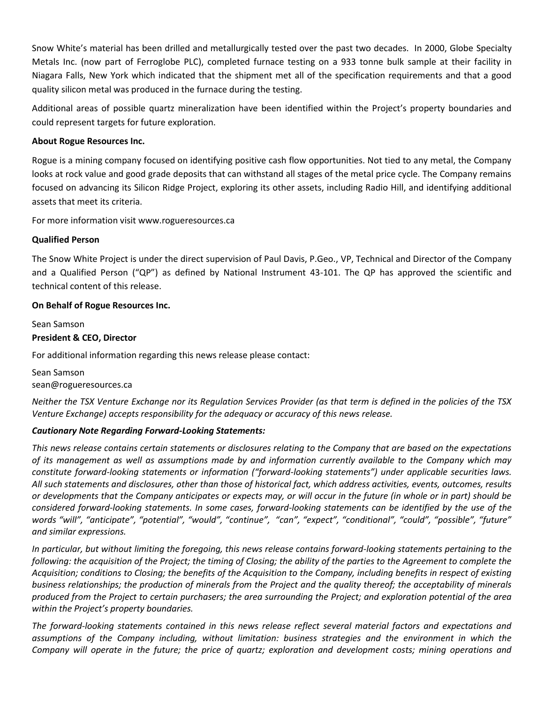Snow White's material has been drilled and metallurgically tested over the past two decades. In 2000, Globe Specialty Metals Inc. (now part of Ferroglobe PLC), completed furnace testing on a 933 tonne bulk sample at their facility in Niagara Falls, New York which indicated that the shipment met all of the specification requirements and that a good quality silicon metal was produced in the furnace during the testing.

Additional areas of possible quartz mineralization have been identified within the Project's property boundaries and could represent targets for future exploration.

## **About Rogue Resources Inc.**

Rogue is a mining company focused on identifying positive cash flow opportunities. Not tied to any metal, the Company looks at rock value and good grade deposits that can withstand all stages of the metal price cycle. The Company remains focused on advancing its Silicon Ridge Project, exploring its other assets, including Radio Hill, and identifying additional assets that meet its criteria.

For more information visit www.rogueresources.ca

### **Qualified Person**

The Snow White Project is under the direct supervision of Paul Davis, P.Geo., VP, Technical and Director of the Company and a Qualified Person ("QP") as defined by National Instrument 43-101. The QP has approved the scientific and technical content of this release.

### **On Behalf of Rogue Resources Inc.**

Sean Samson **President & CEO, Director** For additional information regarding this news release please contact:

Sean Samson sean@rogueresources.ca

*Neither the TSX Venture Exchange nor its Regulation Services Provider (as that term is defined in the policies of the TSX Venture Exchange) accepts responsibility for the adequacy or accuracy of this news release.*

# *Cautionary Note Regarding Forward-Looking Statements:*

*This news release contains certain statements or disclosures relating to the Company that are based on the expectations of its management as well as assumptions made by and information currently available to the Company which may constitute forward-looking statements or information ("forward-looking statements") under applicable securities laws. All such statements and disclosures, other than those of historical fact, which address activities, events, outcomes, results or developments that the Company anticipates or expects may, or will occur in the future (in whole or in part) should be considered forward-looking statements. In some cases, forward-looking statements can be identified by the use of the words "will", "anticipate", "potential", "would", "continue", "can", "expect", "conditional", "could", "possible", "future" and similar expressions.*

*In particular, but without limiting the foregoing, this news release contains forward-looking statements pertaining to the following: the acquisition of the Project; the timing of Closing; the ability of the parties to the Agreement to complete the Acquisition; conditions to Closing; the benefits of the Acquisition to the Company, including benefits in respect of existing business relationships; the production of minerals from the Project and the quality thereof; the acceptability of minerals produced from the Project to certain purchasers; the area surrounding the Project; and exploration potential of the area within the Project's property boundaries.*

*The forward-looking statements contained in this news release reflect several material factors and expectations and assumptions of the Company including, without limitation: business strategies and the environment in which the Company will operate in the future; the price of quartz; exploration and development costs; mining operations and*